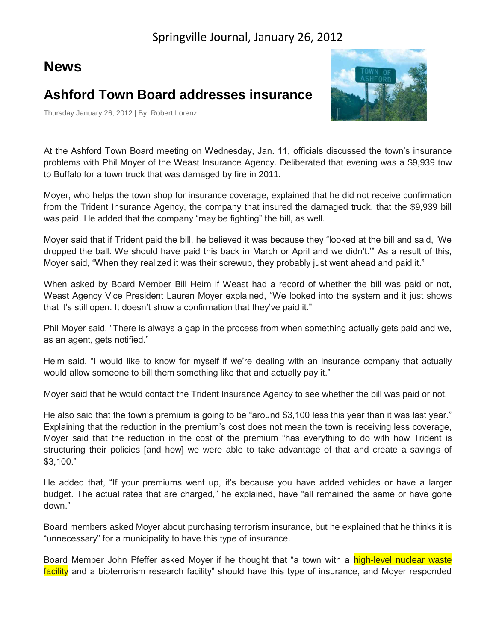## **News**

## **Ashford Town Board addresses insurance**

Thursday January 26, 2012 | By: Robert Lorenz



At the Ashford Town Board meeting on Wednesday, Jan. 11, officials discussed the town's insurance problems with Phil Moyer of the Weast Insurance Agency. Deliberated that evening was a \$9,939 tow to Buffalo for a town truck that was damaged by fire in 2011.

Moyer, who helps the town shop for insurance coverage, explained that he did not receive confirmation from the Trident Insurance Agency, the company that insured the damaged truck, that the \$9,939 bill was paid. He added that the company "may be fighting" the bill, as well.

Moyer said that if Trident paid the bill, he believed it was because they "looked at the bill and said, 'We dropped the ball. We should have paid this back in March or April and we didn't.'" As a result of this, Moyer said, "When they realized it was their screwup, they probably just went ahead and paid it."

When asked by Board Member Bill Heim if Weast had a record of whether the bill was paid or not, Weast Agency Vice President Lauren Moyer explained, "We looked into the system and it just shows that it's still open. It doesn't show a confirmation that they've paid it."

Phil Moyer said, "There is always a gap in the process from when something actually gets paid and we, as an agent, gets notified."

Heim said, "I would like to know for myself if we're dealing with an insurance company that actually would allow someone to bill them something like that and actually pay it."

Moyer said that he would contact the Trident Insurance Agency to see whether the bill was paid or not.

He also said that the town's premium is going to be "around \$3,100 less this year than it was last year." Explaining that the reduction in the premium's cost does not mean the town is receiving less coverage, Moyer said that the reduction in the cost of the premium "has everything to do with how Trident is structuring their policies [and how] we were able to take advantage of that and create a savings of \$3,100."

He added that, "If your premiums went up, it's because you have added vehicles or have a larger budget. The actual rates that are charged," he explained, have "all remained the same or have gone down."

Board members asked Moyer about purchasing terrorism insurance, but he explained that he thinks it is "unnecessary" for a municipality to have this type of insurance.

Board Member John Pfeffer asked Moyer if he thought that "a town with a high-level nuclear waste facility and a bioterrorism research facility" should have this type of insurance, and Moyer responded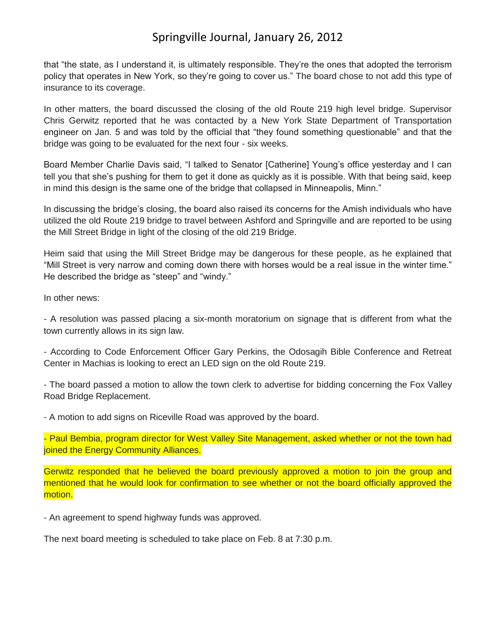### Springville Journal, January 26, 2012

that "the state, as I understand it, is ultimately responsible. They're the ones that adopted the terrorism policy that operates in New York, so they're going to cover us." The board chose to not add this type of insurance to its coverage.

In other matters, the board discussed the closing of the old Route 219 high level bridge. Supervisor Chris Gerwitz reported that he was contacted by a New York State Department of Transportation engineer on Jan. 5 and was told by the official that "they found something questionable" and that the bridge was going to be evaluated for the next four - six weeks.

Board Member Charlie Davis said, "I talked to Senator [Catherine] Young's office yesterday and I can tell you that she's pushing for them to get it done as quickly as it is possible. With that being said, keep in mind this design is the same one of the bridge that collapsed in Minneapolis, Minn."

In discussing the bridge's closing, the board also raised its concerns for the Amish individuals who have utilized the old Route 219 bridge to travel between Ashford and Springville and are reported to be using the Mill Street Bridge in light of the closing of the old 219 Bridge.

Heim said that using the Mill Street Bridge may be dangerous for these people, as he explained that "Mill Street is very narrow and coming down there with horses would be a real issue in the winter time." He described the bridge as "steep" and "windy."

In other news:

- A resolution was passed placing a six-month moratorium on signage that is different from what the town currently allows in its sign law.

- According to Code Enforcement Officer Gary Perkins, the Odosagih Bible Conference and Retreat Center in Machias is looking to erect an LED sign on the old Route 219.

- The board passed a motion to allow the town clerk to advertise for bidding concerning the Fox Valley Road Bridge Replacement.

- A motion to add signs on Riceville Road was approved by the board.

- Paul Bembia, program director for West Valley Site Management, asked whether or not the town had joined the Energy Community Alliances.

Gerwitz responded that he believed the board previously approved a motion to join the group and mentioned that he would look for confirmation to see whether or not the board officially approved the motion.

- An agreement to spend highway funds was approved.

The next board meeting is scheduled to take place on Feb. 8 at 7:30 p.m.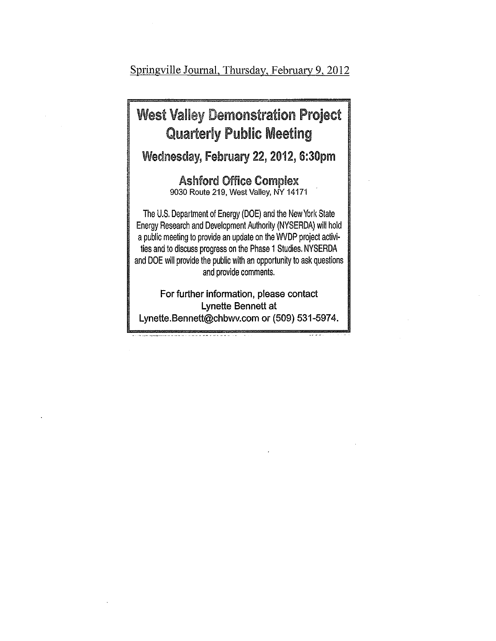Springville Journal, Thursday, February 9, 2012

## **West Valley Demonstration Project Quarterly Public Meeting**

Wednesday, February 22, 2012, 6:30pm

**Ashford Office Complex** 9030 Route 219, West Valley, NY 14171

The U.S. Department of Energy (DOE) and the New York State Energy Research and Development Authority (NYSERDA) will hold a public meeting to provide an update on the WVDP project activities and to discuss progress on the Phase 1 Studies. NYSERDA and DOE will provide the public with an opportunity to ask questions and provide comments.

For further information, please contact Lynette Bennett at Lynette.Bennett@chbwv.com or (509) 531-5974.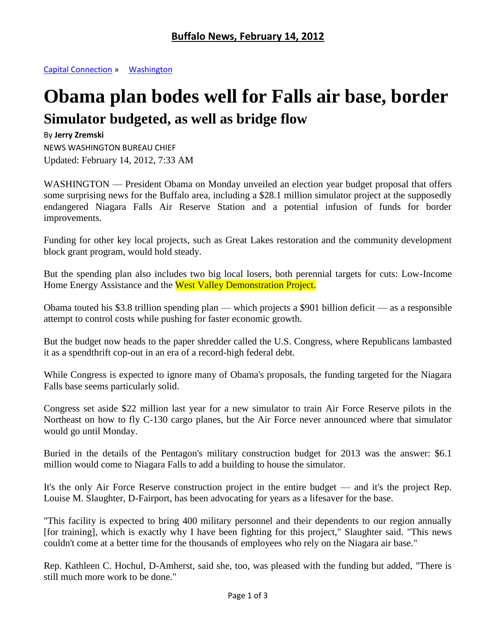[Capital Connection](http://www.buffalonews.com/city/capital-connection/) » [Washington](http://www.buffalonews.com/city/capital-connection/washington/)

# **Obama plan bodes well for Falls air base, border Simulator budgeted, as well as bridge flow**

#### By **Jerry Zremski**

NEWS WASHINGTON BUREAU CHIEF Updated: February 14, 2012, 7:33 AM

WASHINGTON — President Obama on Monday unveiled an election year budget proposal that offers some surprising news for the Buffalo area, including a \$28.1 million simulator project at the supposedly endangered Niagara Falls Air Reserve Station and a potential infusion of funds for border improvements.

Funding for other key local projects, such as Great Lakes restoration and the community development block grant program, would hold steady.

But the spending plan also includes two big local losers, both perennial targets for cuts: Low-Income Home Energy Assistance and the West Valley Demonstration Project.

Obama touted his \$3.8 trillion spending plan — which projects a \$901 billion deficit — as a responsible attempt to control costs while pushing for faster economic growth.

But the budget now heads to the paper shredder called the U.S. Congress, where Republicans lambasted it as a spendthrift cop-out in an era of a record-high federal debt.

While Congress is expected to ignore many of Obama's proposals, the funding targeted for the Niagara Falls base seems particularly solid.

Congress set aside \$22 million last year for a new simulator to train Air Force Reserve pilots in the Northeast on how to fly C-130 cargo planes, but the Air Force never announced where that simulator would go until Monday.

Buried in the details of the Pentagon's military construction budget for 2013 was the answer: \$6.1 million would come to Niagara Falls to add a building to house the simulator.

It's the only Air Force Reserve construction project in the entire budget — and it's the project Rep. Louise M. Slaughter, D-Fairport, has been advocating for years as a lifesaver for the base.

"This facility is expected to bring 400 military personnel and their dependents to our region annually [for training], which is exactly why I have been fighting for this project," Slaughter said. "This news couldn't come at a better time for the thousands of employees who rely on the Niagara air base."

Rep. Kathleen C. Hochul, D-Amherst, said she, too, was pleased with the funding but added, "There is still much more work to be done."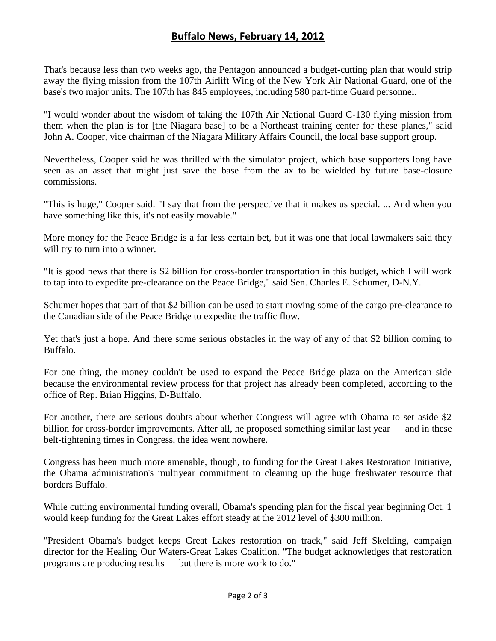#### **Buffalo News, February 14, 2012**

That's because less than two weeks ago, the Pentagon announced a budget-cutting plan that would strip away the flying mission from the 107th Airlift Wing of the New York Air National Guard, one of the base's two major units. The 107th has 845 employees, including 580 part-time Guard personnel.

"I would wonder about the wisdom of taking the 107th Air National Guard C-130 flying mission from them when the plan is for [the Niagara base] to be a Northeast training center for these planes," said John A. Cooper, vice chairman of the Niagara Military Affairs Council, the local base support group.

Nevertheless, Cooper said he was thrilled with the simulator project, which base supporters long have seen as an asset that might just save the base from the ax to be wielded by future base-closure commissions.

"This is huge," Cooper said. "I say that from the perspective that it makes us special. ... And when you have something like this, it's not easily movable."

More money for the Peace Bridge is a far less certain bet, but it was one that local lawmakers said they will try to turn into a winner.

"It is good news that there is \$2 billion for cross-border transportation in this budget, which I will work to tap into to expedite pre-clearance on the Peace Bridge," said Sen. Charles E. Schumer, D-N.Y.

Schumer hopes that part of that \$2 billion can be used to start moving some of the cargo pre-clearance to the Canadian side of the Peace Bridge to expedite the traffic flow.

Yet that's just a hope. And there some serious obstacles in the way of any of that \$2 billion coming to Buffalo.

For one thing, the money couldn't be used to expand the Peace Bridge plaza on the American side because the environmental review process for that project has already been completed, according to the office of Rep. Brian Higgins, D-Buffalo.

For another, there are serious doubts about whether Congress will agree with Obama to set aside \$2 billion for cross-border improvements. After all, he proposed something similar last year — and in these belt-tightening times in Congress, the idea went nowhere.

Congress has been much more amenable, though, to funding for the Great Lakes Restoration Initiative, the Obama administration's multiyear commitment to cleaning up the huge freshwater resource that borders Buffalo.

While cutting environmental funding overall, Obama's spending plan for the fiscal year beginning Oct. 1 would keep funding for the Great Lakes effort steady at the 2012 level of \$300 million.

"President Obama's budget keeps Great Lakes restoration on track," said Jeff Skelding, campaign director for the Healing Our Waters-Great Lakes Coalition. "The budget acknowledges that restoration programs are producing results — but there is more work to do."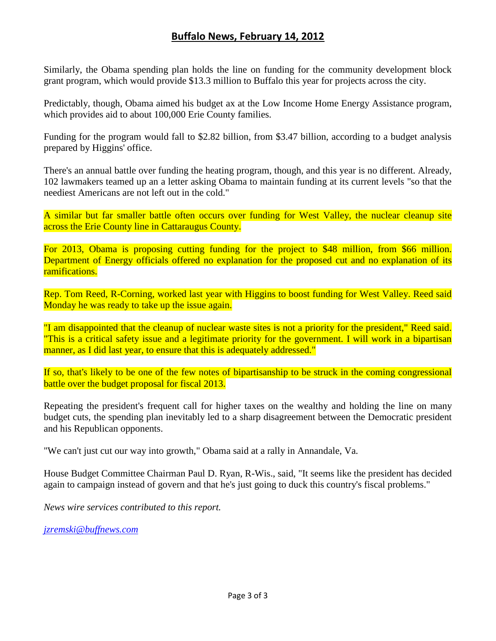#### **Buffalo News, February 14, 2012**

Similarly, the Obama spending plan holds the line on funding for the community development block grant program, which would provide \$13.3 million to Buffalo this year for projects across the city.

Predictably, though, Obama aimed his budget ax at the Low Income Home Energy Assistance program, which provides aid to about 100,000 Erie County families.

Funding for the program would fall to \$2.82 billion, from \$3.47 billion, according to a budget analysis prepared by Higgins' office.

There's an annual battle over funding the heating program, though, and this year is no different. Already, 102 lawmakers teamed up an a letter asking Obama to maintain funding at its current levels "so that the neediest Americans are not left out in the cold."

A similar but far smaller battle often occurs over funding for West Valley, the nuclear cleanup site across the Erie County line in Cattaraugus County.

For 2013, Obama is proposing cutting funding for the project to \$48 million, from \$66 million. Department of Energy officials offered no explanation for the proposed cut and no explanation of its ramifications.

Rep. Tom Reed, R-Corning, worked last year with Higgins to boost funding for West Valley. Reed said Monday he was ready to take up the issue again.

"I am disappointed that the cleanup of nuclear waste sites is not a priority for the president," Reed said. "This is a critical safety issue and a legitimate priority for the government. I will work in a bipartisan manner, as I did last year, to ensure that this is adequately addressed."

If so, that's likely to be one of the few notes of bipartisanship to be struck in the coming congressional battle over the budget proposal for fiscal 2013.

Repeating the president's frequent call for higher taxes on the wealthy and holding the line on many budget cuts, the spending plan inevitably led to a sharp disagreement between the Democratic president and his Republican opponents.

"We can't just cut our way into growth," Obama said at a rally in Annandale, Va.

House Budget Committee Chairman Paul D. Ryan, R-Wis., said, "It seems like the president has decided again to campaign instead of govern and that he's just going to duck this country's fiscal problems."

*News wire services contributed to this report.*

*[jzremski@buffnews.com](mailto:jzremski@buffnews.com)*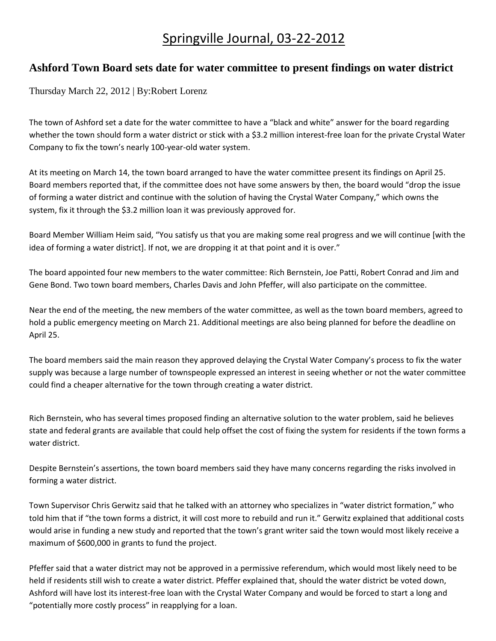## Springville Journal, 03-22-2012

#### **Ashford Town Board sets date for water committee to present findings on water district**

Thursday March 22, 2012 | By:Robert Lorenz

The town of Ashford set a date for the water committee to have a "black and white" answer for the board regarding whether the town should form a water district or stick with a \$3.2 million interest-free loan for the private Crystal Water Company to fix the town's nearly 100-year-old water system.

At its meeting on March 14, the town board arranged to have the water committee present its findings on April 25. Board members reported that, if the committee does not have some answers by then, the board would "drop the issue of forming a water district and continue with the solution of having the Crystal Water Company," which owns the system, fix it through the \$3.2 million loan it was previously approved for.

Board Member William Heim said, "You satisfy us that you are making some real progress and we will continue [with the idea of forming a water district]. If not, we are dropping it at that point and it is over."

The board appointed four new members to the water committee: Rich Bernstein, Joe Patti, Robert Conrad and Jim and Gene Bond. Two town board members, Charles Davis and John Pfeffer, will also participate on the committee.

Near the end of the meeting, the new members of the water committee, as well as the town board members, agreed to hold a public emergency meeting on March 21. Additional meetings are also being planned for before the deadline on April 25.

The board members said the main reason they approved delaying the Crystal Water Company's process to fix the water supply was because a large number of townspeople expressed an interest in seeing whether or not the water committee could find a cheaper alternative for the town through creating a water district.

Rich Bernstein, who has several times proposed finding an alternative solution to the water problem, said he believes state and federal grants are available that could help offset the cost of fixing the system for residents if the town forms a water district.

Despite Bernstein's assertions, the town board members said they have many concerns regarding the risks involved in forming a water district.

Town Supervisor Chris Gerwitz said that he talked with an attorney who specializes in "water district formation," who told him that if "the town forms a district, it will cost more to rebuild and run it." Gerwitz explained that additional costs would arise in funding a new study and reported that the town's grant writer said the town would most likely receive a maximum of \$600,000 in grants to fund the project.

Pfeffer said that a water district may not be approved in a permissive referendum, which would most likely need to be held if residents still wish to create a water district. Pfeffer explained that, should the water district be voted down, Ashford will have lost its interest-free loan with the Crystal Water Company and would be forced to start a long and "potentially more costly process" in reapplying for a loan.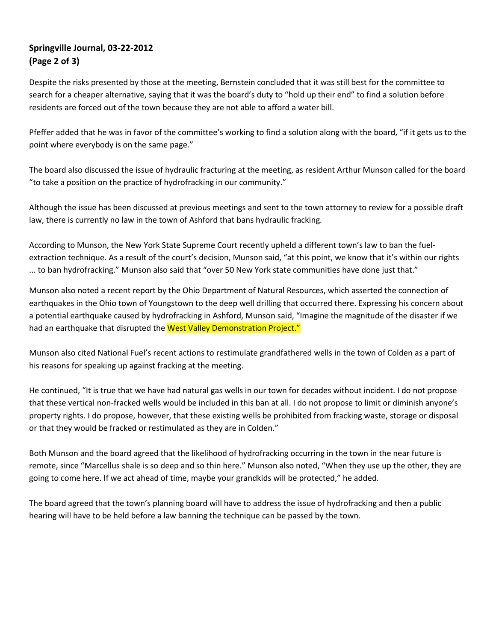#### **Springville Journal, 03-22-2012 (Page 2 of 3)**

Despite the risks presented by those at the meeting, Bernstein concluded that it was still best for the committee to search for a cheaper alternative, saying that it was the board's duty to "hold up their end" to find a solution before residents are forced out of the town because they are not able to afford a water bill.

Pfeffer added that he was in favor of the committee's working to find a solution along with the board, "if it gets us to the point where everybody is on the same page."

The board also discussed the issue of hydraulic fracturing at the meeting, as resident Arthur Munson called for the board "to take a position on the practice of hydrofracking in our community."

Although the issue has been discussed at previous meetings and sent to the town attorney to review for a possible draft law, there is currently no law in the town of Ashford that bans hydraulic fracking.

According to Munson, the New York State Supreme Court recently upheld a different town's law to ban the fuelextraction technique. As a result of the court's decision, Munson said, "at this point, we know that it's within our rights ... to ban hydrofracking." Munson also said that "over 50 New York state communities have done just that."

Munson also noted a recent report by the Ohio Department of Natural Resources, which asserted the connection of earthquakes in the Ohio town of Youngstown to the deep well drilling that occurred there. Expressing his concern about a potential earthquake caused by hydrofracking in Ashford, Munson said, "Imagine the magnitude of the disaster if we had an earthquake that disrupted the West Valley Demonstration Project."

Munson also cited National Fuel's recent actions to restimulate grandfathered wells in the town of Colden as a part of his reasons for speaking up against fracking at the meeting.

He continued, "It is true that we have had natural gas wells in our town for decades without incident. I do not propose that these vertical non-fracked wells would be included in this ban at all. I do not propose to limit or diminish anyone's property rights. I do propose, however, that these existing wells be prohibited from fracking waste, storage or disposal or that they would be fracked or restimulated as they are in Colden."

Both Munson and the board agreed that the likelihood of hydrofracking occurring in the town in the near future is remote, since "Marcellus shale is so deep and so thin here." Munson also noted, "When they use up the other, they are going to come here. If we act ahead of time, maybe your grandkids will be protected," he added.

The board agreed that the town's planning board will have to address the issue of hydrofracking and then a public hearing will have to be held before a law banning the technique can be passed by the town.